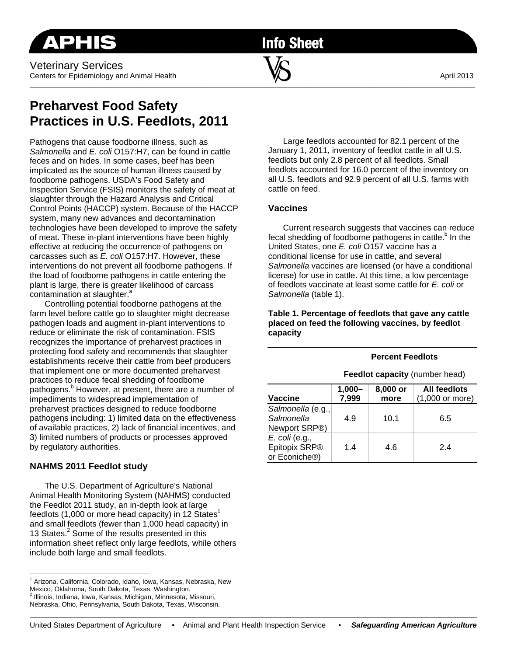Veterinary Services Centers for Epidemiology and Animal Health  $\blacksquare$   $\blacksquare$ 

**Info Sheet** 

 $\overline{\phantom{a}}$  , and the contribution of the contribution of  $\overline{\phantom{a}}$  , and  $\overline{\phantom{a}}$  , and  $\overline{\phantom{a}}$  , and  $\overline{\phantom{a}}$ 

# **Preharvest Food Safety Practices in U.S. Feedlots, 2011**

Pathogens that cause foodborne illness, such as *Salmonella* and *E. coli* O157:H7, can be found in cattle feces and on hides. In some cases, beef has been implicated as the source of human illness caused by foodborne pathogens. USDA's Food Safety and Inspection Service (FSIS) monitors the safety of meat at slaughter through the Hazard Analysis and Critical Control Points (HACCP) system. Because of the HACCP system, many new advances and decontamination technologies have been developed to improve the safety of meat. These in-plant interventions have been highly effective at reducing the occurrence of pathogens on carcasses such as *E. coli* O157:H7. However, these interventions do not prevent all foodborne pathogens. If the load of foodborne pathogens in cattle entering the plant is large, there is greater likelihood of carcass contamination at slaughter.<sup>a</sup>

Controlling potential foodborne pathogens at the farm level before cattle go to slaughter might decrease pathogen loads and augment in-plant interventions to reduce or eliminate the risk of contamination. FSIS recognizes the importance of preharvest practices in protecting food safety and recommends that slaughter establishments receive their cattle from beef producers that implement one or more documented preharvest practices to reduce fecal shedding of foodborne pathogens.<sup>b</sup> However, at present, there are a number of impediments to widespread implementation of preharvest practices designed to reduce foodborne pathogens including: 1) limited data on the effectiveness of available practices, 2) lack of financial incentives, and 3) limited numbers of products or processes approved by regulatory authorities.

# **NAHMS 2011 Feedlot study**

The U.S. Department of Agriculture's National Animal Health Monitoring System (NAHMS) conducted the Feedlot 2011 study, an in-depth look at large feedlots (1,000 or more head capacity) in 12 States<sup>1</sup> and small feedlots (fewer than 1,000 head capacity) in 13 States.<sup>2</sup> Some of the results presented in this information sheet reflect only large feedlots, while others include both large and small feedlots.

<sup>1</sup> Arizona, California, Colorado, Idaho, Iowa, Kansas, Nebraska, New Mexico, Oklahoma, South Dakota, Texas, Washington.

Large feedlots accounted for 82.1 percent of the January 1, 2011, inventory of feedlot cattle in all U.S. feedlots but only 2.8 percent of all feedlots. Small feedlots accounted for 16.0 percent of the inventory on all U.S. feedlots and 92.9 percent of all U.S. farms with cattle on feed.

## **Vaccines**

Current research suggests that vaccines can reduce fecal shedding of foodborne pathogens in cattle.<sup>b</sup> In the United States, one *E. coli* O157 vaccine has a conditional license for use in cattle, and several *Salmonella* vaccines are licensed (or have a conditional license) for use in cattle. At this time, a low percentage of feedlots vaccinate at least some cattle for *E. coli* or *Salmonella* (table 1).

**Table 1. Percentage of feedlots that gave any cattle placed on feed the following vaccines, by feedlot capacity** 

#### **Percent Feedlots**

**Feedlot capacity** (number head)

| Vaccine                                          | $1,000 -$<br>7,999 | 8,000 or<br>more | <b>All feedlots</b><br>$(1,000$ or more) |
|--------------------------------------------------|--------------------|------------------|------------------------------------------|
| Salmonella (e.g.,<br>Salmonella<br>Newport SRP®) | 4.9                | 10.1             | 6.5                                      |
| E. coli (e.g.,<br>Epitopix SRP®<br>or Econiche®) | 1.4                | 4.6              | 24                                       |

<sup>2</sup> Illinois, Indiana, Iowa, Kansas, Michigan, Minnesota, Missouri,

Nebraska, Ohio, Pennsylvania, South Dakota, Texas, Wisconsin.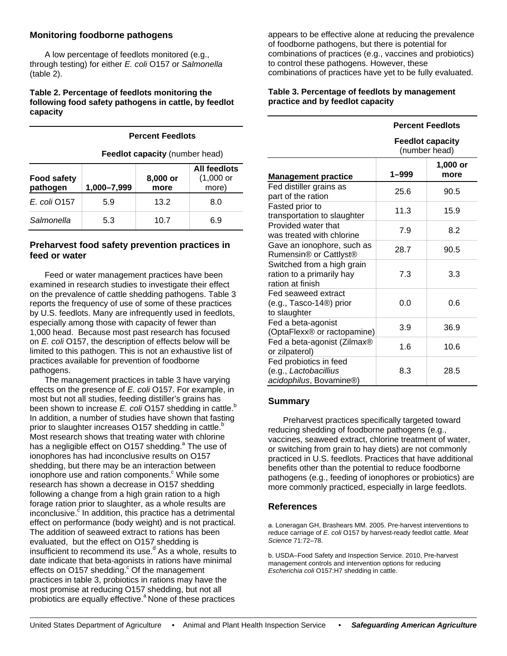## **Monitoring foodborne pathogens**

A low percentage of feedlots monitored (e.g., through testing) for either *E. coli* O157 or *Salmonella* (table 2).

#### **Table 2. Percentage of feedlots monitoring the following food safety pathogens in cattle, by feedlot capacity**

|                                | <b>Feedlot capacity (number head)</b> |                  |                                               |  |
|--------------------------------|---------------------------------------|------------------|-----------------------------------------------|--|
| <b>Food safety</b><br>pathogen | 1,000-7,999                           | 8,000 or<br>more | All feedlots<br>$(1,000 \text{ or }$<br>more) |  |
| E. coli 0157                   | 5.9                                   | 13.2             | 8.0                                           |  |
| Salmonella                     | 5.3                                   | 10.7             | 6.9                                           |  |

**Percent Feedlots** 

## **Preharvest food safety prevention practices in feed or water**

Feed or water management practices have been examined in research studies to investigate their effect on the prevalence of cattle shedding pathogens. Table 3 reports the frequency of use of some of these practices by U.S. feedlots. Many are infrequently used in feedlots, especially among those with capacity of fewer than 1,000 head. Because most past research has focused on *E. coli* O157, the description of effects below will be limited to this pathogen. This is not an exhaustive list of practices available for prevention of foodborne pathogens.

The management practices in table 3 have varying effects on the presence of *E. coli* O157. For example, in most but not all studies, feeding distiller's grains has been shown to increase *E. coli* O157 shedding in cattle.<sup>b</sup> In addition, a number of studies have shown that fasting prior to slaughter increases O157 shedding in cattle.<sup>b</sup> Most research shows that treating water with chlorine has a negligible effect on O157 shedding.<sup>a</sup> The use of ionophores has had inconclusive results on O157 shedding, but there may be an interaction between ionophore use and ration components.<sup>c</sup> While some research has shown a decrease in O157 shedding following a change from a high grain ration to a high forage ration prior to slaughter, as a whole results are inconclusive.<sup>c</sup> In addition, this practice has a detrimental effect on performance (body weight) and is not practical. The addition of seaweed extract to rations has been evaluated, but the effect on O157 shedding is insufficient to recommend its use.<sup>d</sup> As a whole, results to date indicate that beta-agonists in rations have minimal effects on O157 shedding. $\degree$  Of the management practices in table 3, probiotics in rations may have the most promise at reducing O157 shedding, but not all probiotics are equally effective.<sup>a</sup> None of these practices

appears to be effective alone at reducing the prevalence of foodborne pathogens, but there is potential for combinations of practices (e.g., vaccines and probiotics) to control these pathogens. However, these combinations of practices have yet to be fully evaluated.

## **Table 3. Percentage of feedlots by management practice and by feedlot capacity**

|                                                                             | <b>Percent Feedlots</b><br><b>Feedlot capacity</b><br>(number head) |                  |  |
|-----------------------------------------------------------------------------|---------------------------------------------------------------------|------------------|--|
|                                                                             |                                                                     |                  |  |
| <b>Management practice</b>                                                  | 1–999                                                               | 1,000 or<br>more |  |
| Fed distiller grains as<br>part of the ration                               | 25.6                                                                | 90.5             |  |
| Fasted prior to<br>transportation to slaughter                              | 11.3                                                                | 15.9             |  |
| Provided water that<br>was treated with chlorine                            | 7.9                                                                 | 8.2              |  |
| Gave an ionophore, such as<br>Rumensin® or Cattlyst®                        | 28.7                                                                | 90.5             |  |
| Switched from a high grain<br>ration to a primarily hay<br>ration at finish | 7.3                                                                 | 3.3              |  |
| Fed seaweed extract<br>(e.g., Tasco-14 <sup>®</sup> ) prior<br>to slaughter | 0.0                                                                 | 0.6              |  |
| Fed a beta-agonist<br>(OptaFlexx® or ractopamine)                           | 3.9                                                                 | 36.9             |  |
| Fed a beta-agonist (Zilmax®<br>or zilpaterol)                               | 1.6                                                                 | 10.6             |  |
| Fed probiotics in feed<br>(e.g., Lactobacillius<br>acidophilus, Bovamine®)  | 8.3                                                                 | 28.5             |  |

## **Summary**

Preharvest practices specifically targeted toward reducing shedding of foodborne pathogens (e.g., vaccines, seaweed extract, chlorine treatment of water, or switching from grain to hay diets) are not commonly practiced in U.S. feedlots. Practices that have additional benefits other than the potential to reduce foodborne pathogens (e.g., feeding of ionophores or probiotics) are more commonly practiced, especially in large feedlots.

## **References**

a. Loneragan GH, Brashears MM. 2005. Pre-harvest interventions to reduce carriage of *E. coli* O157 by harvest-ready feedlot cattle. *Meat Science* 71:72–78.

b. USDA–Food Safety and Inspection Service. 2010, Pre-harvest management controls and intervention options for reducing *Escherichia coli* O157:H7 shedding in cattle.